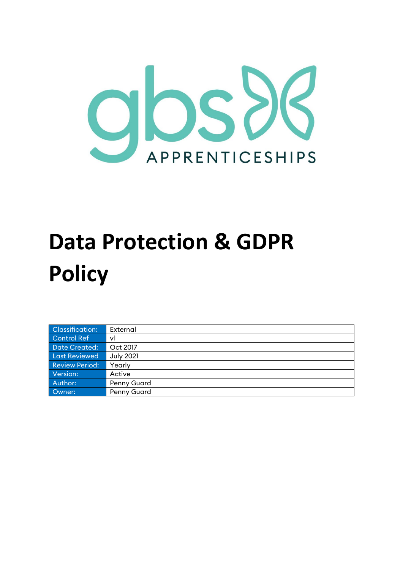

# **Data Protection & GDPR Policy**

| <b>Classification:</b> | External         |
|------------------------|------------------|
| <b>Control Ref</b>     | νl               |
| <b>Date Created:</b>   | Oct 2017         |
| <b>Last Reviewed</b>   | <b>July 2021</b> |
| <b>Review Period:</b>  | Yearly           |
| Version:               | Active           |
| Author:                | Penny Guard      |
| Owner:                 | Penny Guard      |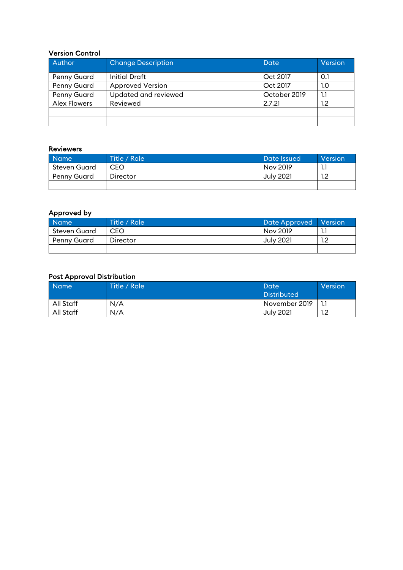#### Version Control

| Author             | <b>Change Description</b> | Date         | Version          |
|--------------------|---------------------------|--------------|------------------|
| <b>Penny Guard</b> | Initial Draft             | Oct 2017     | 0.1              |
| Penny Guard        | <b>Approved Version</b>   | Oct 2017     | 1.0              |
| <b>Penny Guard</b> | Updated and reviewed      | October 2019 | 1.1              |
| Alex Flowers       | Reviewed                  | 2.7.21       | $1.2\phantom{0}$ |
|                    |                           |              |                  |
|                    |                           |              |                  |

### Reviewers

| Name <sup>1</sup> | Title / Role | Date ssued | Version |
|-------------------|--------------|------------|---------|
| Steven Guard      | CEO          | Nov 2019   | ۰.      |
| Penny Guard       | Director     | July 2021  | ے ، ا   |
|                   |              |            |         |

#### Approved by

| Name <sup>1</sup> | Title / Role | <b>Date Approved</b> | Version      |
|-------------------|--------------|----------------------|--------------|
| Steven Guard      | CEO          | Nov 2019             | . .          |
| Penny Guard       | Director     | July 2021            | 1 ລ<br>ے ، ا |
|                   |              |                      |              |

# Post Approval Distribution

| <b>Name</b> | Title / Role | Date               | Version |
|-------------|--------------|--------------------|---------|
|             |              | <b>Distributed</b> |         |
| All Staff   | N/A          | November 2019      | IJ.     |
| All Staff   | N/A          | July 2021          | 1.2     |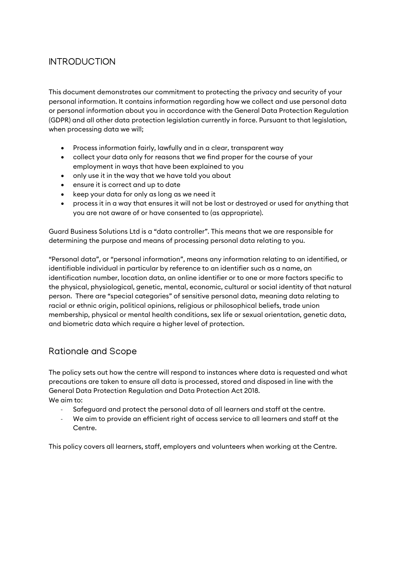# **INTRODUCTION**

This document demonstrates our commitment to protecting the privacy and security of your personal information. It contains information regarding how we collect and use personal data or personal information about you in accordance with the General Data Protection Regulation (GDPR) and all other data protection legislation currently in force. Pursuant to that legislation, when processing data we will;

- Process information fairly, lawfully and in a clear, transparent way
- collect your data only for reasons that we find proper for the course of your employment in ways that have been explained to you
- only use it in the way that we have told you about
- ensure it is correct and up to date
- keep your data for only as long as we need it
- process it in a way that ensures it will not be lost or destroyed or used for anything that you are not aware of or have consented to (as appropriate).

Guard Business Solutions Ltd is a "data controller". This means that we are responsible for determining the purpose and means of processing personal data relating to you.

"Personal data", or "personal information", means any information relating to an identified, or identifiable individual in particular by reference to an identifier such as a name, an identification number, location data, an online identifier or to one or more factors specific to the physical, physiological, genetic, mental, economic, cultural or social identity of that natural person. There are "special categories" of sensitive personal data, meaning data relating to racial or ethnic origin, political opinions, religious or philosophical beliefs, trade union membership, physical or mental health conditions, sex life or sexual orientation, genetic data, and biometric data which require a higher level of protection.

# Rationale and Scope

The policy sets out how the centre will respond to instances where data is requested and what precautions are taken to ensure all data is processed, stored and disposed in line with the General Data Protection Regulation and Data Protection Act 2018. We aim to:

- Safeguard and protect the personal data of all learners and staff at the centre.
- We aim to provide an efficient right of access service to all learners and staff at the Centre.

This policy covers all learners, staff, employers and volunteers when working at the Centre.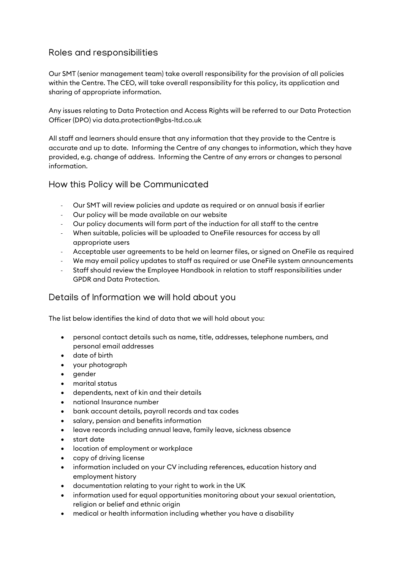# Roles and responsibilities

Our SMT (senior management team) take overall responsibility for the provision of all policies within the Centre. The CEO, will take overall responsibility for this policy, its application and sharing of appropriate information.

Any issues relating to Data Protection and Access Rights will be referred to our Data Protection Officer (DPO) via data.protection@gbs-ltd.co.uk

All staff and learners should ensure that any information that they provide to the Centre is accurate and up to date. Informing the Centre of any changes to information, which they have provided, e.g. change of address. Informing the Centre of any errors or changes to personal information.

# How this Policy will be Communicated

- Our SMT will review policies and update as required or on annual basis if earlier
- Our policy will be made available on our website
- Our policy documents will form part of the induction for all staff to the centre
- When suitable, policies will be uploaded to OneFile resources for access by all appropriate users
- Acceptable user agreements to be held on learner files, or signed on OneFile as required
- We may email policy updates to staff as required or use OneFile system announcements
- Staff should review the Employee Handbook in relation to staff responsibilities under GPDR and Data Protection.

# Details of Information we will hold about you

The list below identifies the kind of data that we will hold about you:

- personal contact details such as name, title, addresses, telephone numbers, and personal email addresses
- date of birth
- your photograph
- gender
- marital status
- dependents, next of kin and their details
- national Insurance number
- bank account details, payroll records and tax codes
- salary, pension and benefits information
- leave records including annual leave, family leave, sickness absence
- start date
- location of employment or workplace
- copy of driving license
- information included on your CV including references, education history and employment history
- documentation relating to your right to work in the UK
- information used for equal opportunities monitoring about your sexual orientation, religion or belief and ethnic origin
- medical or health information including whether you have a disability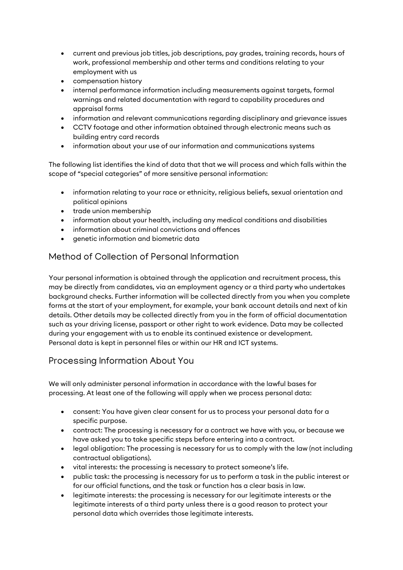- current and previous job titles, job descriptions, pay grades, training records, hours of work, professional membership and other terms and conditions relating to your employment with us
- compensation history
- internal performance information including measurements against targets, formal warnings and related documentation with regard to capability procedures and appraisal forms
- information and relevant communications regarding disciplinary and grievance issues
- CCTV footage and other information obtained through electronic means such as building entry card records
- information about your use of our information and communications systems

The following list identifies the kind of data that that we will process and which falls within the scope of "special categories" of more sensitive personal information:

- information relating to your race or ethnicity, religious beliefs, sexual orientation and political opinions
- trade union membership
- information about your health, including any medical conditions and disabilities
- information about criminal convictions and offences
- genetic information and biometric data

# Method of Collection of Personal Information

Your personal information is obtained through the application and recruitment process, this may be directly from candidates, via an employment agency or a third party who undertakes background checks. Further information will be collected directly from you when you complete forms at the start of your employment, for example, your bank account details and next of kin details. Other details may be collected directly from you in the form of official documentation such as your driving license, passport or other right to work evidence. Data may be collected during your engagement with us to enable its continued existence or development. Personal data is kept in personnel files or within our HR and ICT systems.

# Processing Information About You

We will only administer personal information in accordance with the lawful bases for processing. At least one of the following will apply when we process personal data:

- consent: You have given clear consent for us to process your personal data for a specific purpose.
- contract: The processing is necessary for a contract we have with you, or because we have asked you to take specific steps before entering into a contract.
- legal obligation: The processing is necessary for us to comply with the law (not including contractual obligations).
- vital interests: the processing is necessary to protect someone's life.
- public task: the processing is necessary for us to perform a task in the public interest or for our official functions, and the task or function has a clear basis in law.
- legitimate interests: the processing is necessary for our legitimate interests or the legitimate interests of a third party unless there is a good reason to protect your personal data which overrides those legitimate interests.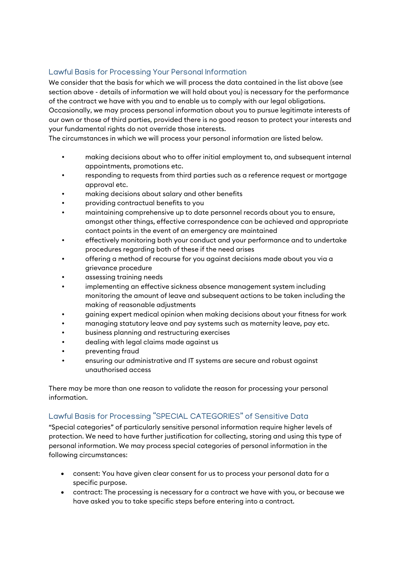## Lawful Basis for Processing Your Personal Information

We consider that the basis for which we will process the data contained in the list above (see section above - details of information we will hold about you) is necessary for the performance of the contract we have with you and to enable us to comply with our legal obligations.

Occasionally, we may process personal information about you to pursue legitimate interests of our own or those of third parties, provided there is no good reason to protect your interests and your fundamental rights do not override those interests.

The circumstances in which we will process your personal information are listed below.

- making decisions about who to offer initial employment to, and subsequent internal appointments, promotions etc.
- responding to requests from third parties such as a reference request or mortgage approval etc.
- making decisions about salary and other benefits
- providing contractual benefits to you
- maintaining comprehensive up to date personnel records about you to ensure, amongst other things, effective correspondence can be achieved and appropriate contact points in the event of an emergency are maintained
- effectively monitoring both your conduct and your performance and to undertake procedures regarding both of these if the need arises
- offering a method of recourse for you against decisions made about you via a grievance procedure
- assessing training needs
- implementing an effective sickness absence management system including monitoring the amount of leave and subsequent actions to be taken including the making of reasonable adjustments
- gaining expert medical opinion when making decisions about your fitness for work
- managing statutory leave and pay systems such as maternity leave, pay etc.
- business planning and restructuring exercises
- dealing with legal claims made against us
- preventing fraud
- ensuring our administrative and IT systems are secure and robust against unauthorised access

There may be more than one reason to validate the reason for processing your personal information.

#### Lawful Basis for Processing "SPECIAL CATEGORIES" of Sensitive Data

"Special categories" of particularly sensitive personal information require higher levels of protection. We need to have further justification for collecting, storing and using this type of personal information. We may process special categories of personal information in the following circumstances:

- consent: You have given clear consent for us to process your personal data for a specific purpose.
- contract: The processing is necessary for a contract we have with you, or because we have asked you to take specific steps before entering into a contract.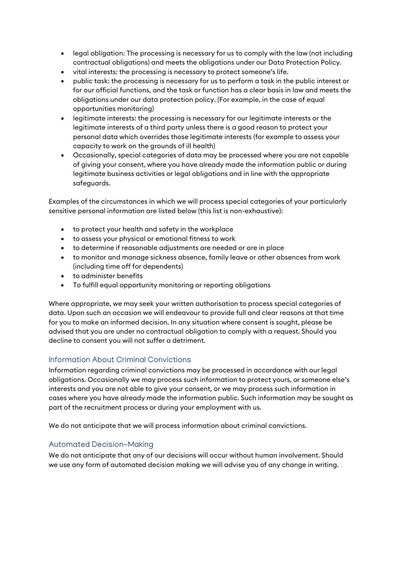- legal obligation: The processing is necessary for us to comply with the law (not including contractual obligations) and meets the obligations under our Data Protection Policy.
- vital interests: the processing is necessary to protect someone's life.
- public task: the processing is necessary for us to perform a task in the public interest or for our official functions, and the task or function has a clear basis in law and meets the obligations under our data protection policy. (For example, in the case of equal opportunities monitoring)
- legitimate interests: the processing is necessary for our legitimate interests or the legitimate interests of a third party unless there is a good reason to protect your personal data which overrides those legitimate interests (for example to assess your capacity to work on the grounds of ill health)
- Occasionally, special categories of data may be processed where you are not capable of giving your consent, where you have already made the information public or during legitimate business activities or legal obligations and in line with the appropriate safeguards.

Examples of the circumstances in which we will process special categories of your particularly sensitive personal information are listed below (this list is non-exhaustive):

- to protect your health and safety in the workplace
- to assess your physical or emotional fitness to work
- to determine if reasonable adjustments are needed or are in place
- to monitor and manage sickness absence, family leave or other absences from work (including time off for dependents)
- to administer benefits
- To fulfill equal opportunity monitoring or reporting obligations

Where appropriate, we may seek your written authorisation to process special categories of data. Upon such an occasion we will endeavour to provide full and clear reasons at that time for you to make an informed decision. In any situation where consent is sought, please be advised that you are under no contractual obligation to comply with a request. Should you decline to consent you will not suffer a detriment.

#### Information About Criminal Convictions

Information regarding criminal convictions may be processed in accordance with our legal obligations. Occasionally we may process such information to protect yours, or someone else's interests and you are not able to give your consent, or we may process such information in cases where you have already made the information public. Such information may be sought as part of the recruitment process or during your employment with us.

We do not anticipate that we will process information about criminal convictions.

#### Automated Decision-Making

We do not anticipate that any of our decisions will occur without human involvement. Should we use any form of automated decision making we will advise you of any change in writing.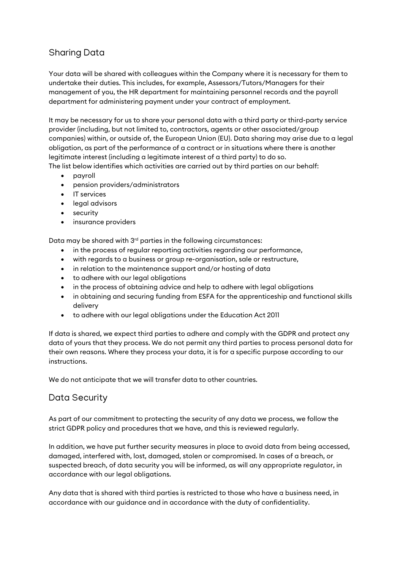# Sharing Data

Your data will be shared with colleagues within the Company where it is necessary for them to undertake their duties. This includes, for example, Assessors/Tutors/Managers for their management of you, the HR department for maintaining personnel records and the payroll department for administering payment under your contract of employment.

It may be necessary for us to share your personal data with a third party or third-party service provider (including, but not limited to, contractors, agents or other associated/group companies) within, or outside of, the European Union (EU). Data sharing may arise due to a legal obligation, as part of the performance of a contract or in situations where there is another legitimate interest (including a legitimate interest of a third party) to do so.

The list below identifies which activities are carried out by third parties on our behalf:

- payroll
- pension providers/administrators
- IT services
- legal advisors
- security
- insurance providers

Data may be shared with 3<sup>rd</sup> parties in the following circumstances:

- in the process of regular reporting activities regarding our performance,
- with regards to a business or group re-organisation, sale or restructure,
- in relation to the maintenance support and/or hosting of data
- to adhere with our legal obligations
- in the process of obtaining advice and help to adhere with legal obligations
- in obtaining and securing funding from ESFA for the apprenticeship and functional skills delivery
- to adhere with our legal obligations under the Education Act 2011

If data is shared, we expect third parties to adhere and comply with the GDPR and protect any data of yours that they process. We do not permit any third parties to process personal data for their own reasons. Where they process your data, it is for a specific purpose according to our instructions.

We do not anticipate that we will transfer data to other countries.

#### Data Security

As part of our commitment to protecting the security of any data we process, we follow the strict GDPR policy and procedures that we have, and this is reviewed regularly.

In addition, we have put further security measures in place to avoid data from being accessed, damaged, interfered with, lost, damaged, stolen or compromised. In cases of a breach, or suspected breach, of data security you will be informed, as will any appropriate regulator, in accordance with our legal obligations.

Any data that is shared with third parties is restricted to those who have a business need, in accordance with our guidance and in accordance with the duty of confidentiality.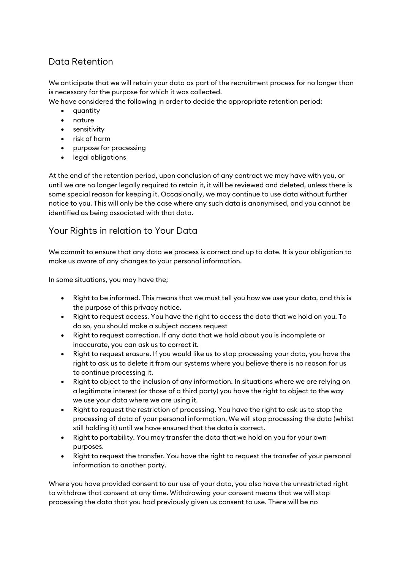# Data Retention

We anticipate that we will retain your data as part of the recruitment process for no longer than is necessary for the purpose for which it was collected.

We have considered the following in order to decide the appropriate retention period:

- quantity
- nature
- sensitivity
- risk of harm
- purpose for processing
- legal obligations

At the end of the retention period, upon conclusion of any contract we may have with you, or until we are no longer legally required to retain it, it will be reviewed and deleted, unless there is some special reason for keeping it. Occasionally, we may continue to use data without further notice to you. This will only be the case where any such data is anonymised, and you cannot be identified as being associated with that data.

# Your Rights in relation to Your Data

We commit to ensure that any data we process is correct and up to date. It is your obligation to make us aware of any changes to your personal information.

In some situations, you may have the;

- Right to be informed. This means that we must tell you how we use your data, and this is the purpose of this privacy notice.
- Right to request access. You have the right to access the data that we hold on you. To do so, you should make a subject access request
- Right to request correction. If any data that we hold about you is incomplete or inaccurate, you can ask us to correct it.
- Right to request erasure. If you would like us to stop processing your data, you have the right to ask us to delete it from our systems where you believe there is no reason for us to continue processing it.
- Right to object to the inclusion of any information. In situations where we are relying on a legitimate interest (or those of a third party) you have the right to object to the way we use your data where we are using it.
- Right to request the restriction of processing. You have the right to ask us to stop the processing of data of your personal information. We will stop processing the data (whilst still holding it) until we have ensured that the data is correct.
- Right to portability. You may transfer the data that we hold on you for your own purposes.
- Right to request the transfer. You have the right to request the transfer of your personal information to another party.

Where you have provided consent to our use of your data, you also have the unrestricted right to withdraw that consent at any time. Withdrawing your consent means that we will stop processing the data that you had previously given us consent to use. There will be no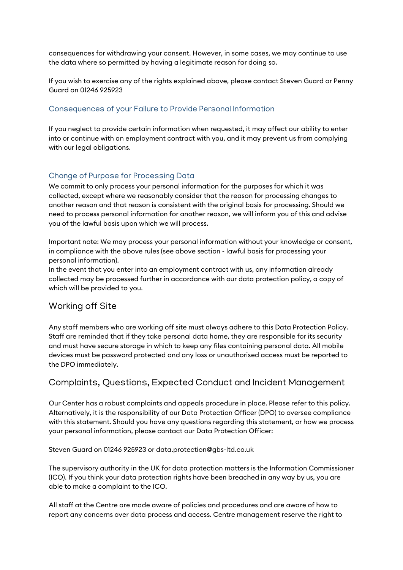consequences for withdrawing your consent. However, in some cases, we may continue to use the data where so permitted by having a legitimate reason for doing so.

If you wish to exercise any of the rights explained above, please contact Steven Guard or Penny Guard on 01246 925923

#### Consequences of your Failure to Provide Personal Information

If you neglect to provide certain information when requested, it may affect our ability to enter into or continue with an employment contract with you, and it may prevent us from complying with our legal obligations.

#### Change of Purpose for Processing Data

We commit to only process your personal information for the purposes for which it was collected, except where we reasonably consider that the reason for processing changes to another reason and that reason is consistent with the original basis for processing. Should we need to process personal information for another reason, we will inform you of this and advise you of the lawful basis upon which we will process.

Important note: We may process your personal information without your knowledge or consent, in compliance with the above rules (see above section - lawful basis for processing your personal information).

In the event that you enter into an employment contract with us, any information already collected may be processed further in accordance with our data protection policy, a copy of which will be provided to you.

# Working off Site

Any staff members who are working off site must always adhere to this Data Protection Policy. Staff are reminded that if they take personal data home, they are responsible for its security and must have secure storage in which to keep any files containing personal data. All mobile devices must be password protected and any loss or unauthorised access must be reported to the DPO immediately.

# Complaints, Questions, Expected Conduct and Incident Management

Our Center has a robust complaints and appeals procedure in place. Please refer to this policy. Alternatively, it is the responsibility of our Data Protection Officer (DPO) to oversee compliance with this statement. Should you have any questions regarding this statement, or how we process your personal information, please contact our Data Protection Officer:

#### Steven Guard on 01246 925923 or data.protection@gbs-ltd.co.uk

The supervisory authority in the UK for data protection matters is the Information Commissioner (ICO). If you think your data protection rights have been breached in any way by us, you are able to make a complaint to the ICO.

All staff at the Centre are made aware of policies and procedures and are aware of how to report any concerns over data process and access. Centre management reserve the right to